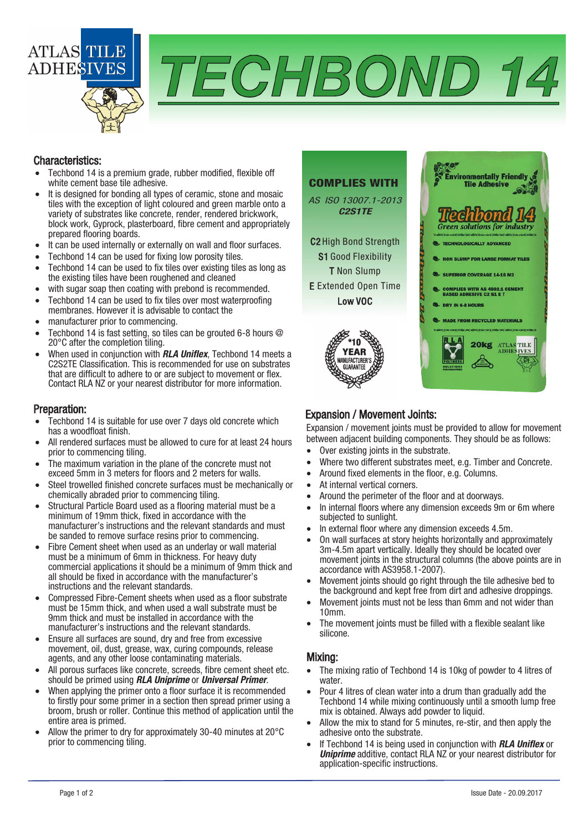

# TECHBOND 14

#### Characteristics:

- Techbond 14 is a premium grade, rubber modified, flexible off white cement base tile adhesive.
- It is designed for bonding all types of ceramic, stone and mosaic tiles with the exception of light coloured and green marble onto a variety of substrates like concrete, render, rendered brickwork, block work, Gyprock, plasterboard, fibre cement and appropriately prepared flooring boards.
- It can be used internally or externally on wall and floor surfaces.
- Techbond 14 can be used for fixing low porosity tiles.
- Techbond 14 can be used to fix tiles over existing tiles as long as the existing tiles have been roughened and cleaned
- with sugar soap then coating with prebond is recommended.
- Techbond 14 can be used to fix tiles over most waterproofing membranes. However it is advisable to contact the
- manufacturer prior to commencing.
- Techbond 14 is fast setting, so tiles can be grouted 6-8 hours @ 20°C after the completion tiling.
- When used in conjunction with **RLA Uniflex**, Techbond 14 meets a C2S2TE Classification. This is recommended for use on substrates that are difficult to adhere to or are subject to movement or flex. Contact RLA NZ or your nearest distributor for more information.

#### Preparation:

- Techbond 14 is suitable for use over 7 days old concrete which has a woodfloat finish.
- All rendered surfaces must be allowed to cure for at least 24 hours prior to commencing tiling.
- The maximum variation in the plane of the concrete must not exceed 5mm in 3 meters for floors and 2 meters for walls.
- Steel trowelled finished concrete surfaces must be mechanically or chemically abraded prior to commencing tiling.
- Structural Particle Board used as a flooring material must be a minimum of 19mm thick, fixed in accordance with the manufacturer's instructions and the relevant standards and must be sanded to remove surface resins prior to commencing.
- Fibre Cement sheet when used as an underlay or wall material must be a minimum of 6mm in thickness. For heavy duty commercial applications it should be a minimum of 9mm thick and all should be fixed in accordance with the manufacturer's instructions and the relevant standards.
- Compressed Fibre-Cement sheets when used as a floor substrate must be 15mm thick, and when used a wall substrate must be 9mm thick and must be installed in accordance with the manufacturer's instructions and the relevant standards.
- Ensure all surfaces are sound, dry and free from excessive movement, oil, dust, grease, wax, curing compounds, release agents, and any other loose contaminating materials.
- All porous surfaces like concrete, screeds, fibre cement sheet etc. should be primed using **RLA Uniprime** or **Universal Primer**.
- When applying the primer onto a floor surface it is recommended to firstly pour some primer in a section then spread primer using a broom, brush or roller. Continue this method of application until the entire area is primed.
- Allow the primer to dry for approximately 30-40 minutes at 20°C prior to commencing tiling.

## COMPLIES WITH

AS ISO 13007.1-2013 C2S1TE

C2 High Bond Strength S1 Good Flexibility T Non Slump E Extended Open Time Low VOC





# Expansion / Movement Joints:

Expansion / movement joints must be provided to allow for movement between adjacent building components. They should be as follows:

- Over existing joints in the substrate.
- Where two different substrates meet, e.g. Timber and Concrete.
- Around fixed elements in the floor, e.g. Columns.
- At internal vertical corners.
- Around the perimeter of the floor and at doorways.
- In internal floors where any dimension exceeds 9m or 6m where subjected to sunlight.
- In external floor where any dimension exceeds 4.5m.
- On wall surfaces at story heights horizontally and approximately 3m-4.5m apart vertically. Ideally they should be located over movement joints in the structural columns (the above points are in accordance with AS3958.1-2007).
- Movement joints should go right through the tile adhesive bed to the background and kept free from dirt and adhesive droppings.
- Movement joints must not be less than 6mm and not wider than 10mm.
- The movement joints must be filled with a flexible sealant like silicone.

## Mixing:

- The mixing ratio of Techbond 14 is 10kg of powder to 4 litres of water
- Pour 4 litres of clean water into a drum than gradually add the Techbond 14 while mixing continuously until a smooth lump free mix is obtained. Always add powder to liquid.
- Allow the mix to stand for 5 minutes, re-stir, and then apply the adhesive onto the substrate.
- If Techbond 14 is being used in conjunction with **RLA Uniflex** or **Uniprime** additive, contact RLA NZ or your nearest distributor for application-specific instructions.